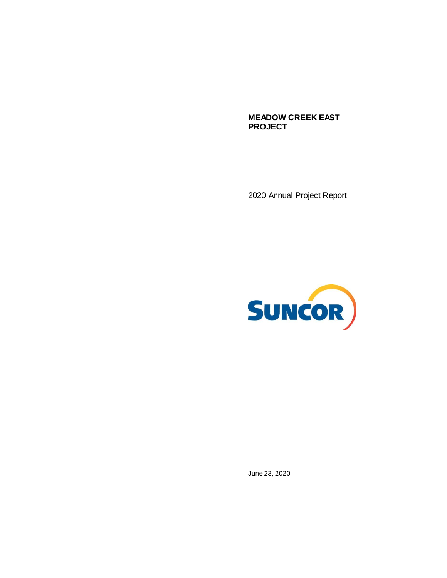**MEADOW CREEK EAST PROJECT**

2020 Annual Project Report



June 23, 2020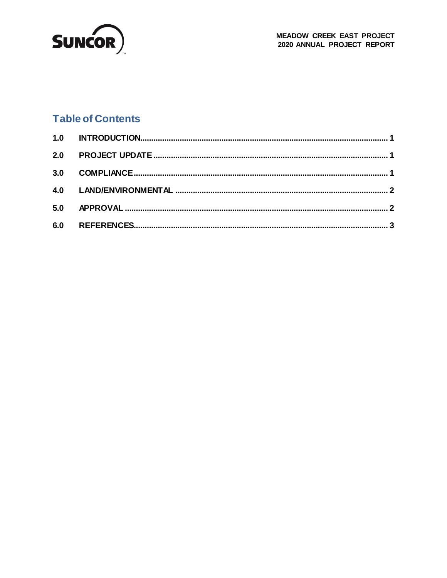

### **Table of Contents**

| 6.0 |  |
|-----|--|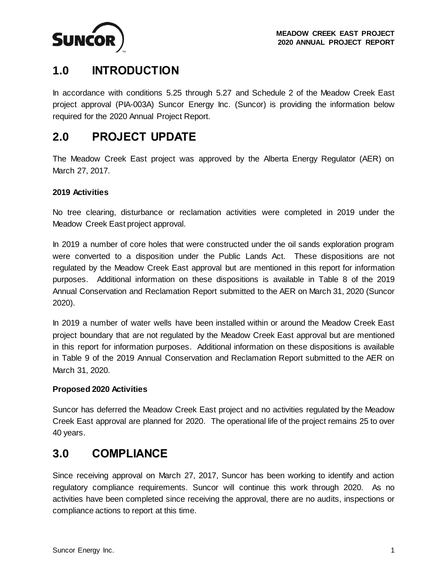<span id="page-2-3"></span>

# <span id="page-2-0"></span>**1.0 INTRODUCTION**

In accordance with conditions 5.25 through 5.27 and Schedule 2 of the Meadow Creek East project approval (PIA-003A) Suncor Energy Inc. (Suncor) is providing the information below required for the 2020 Annual Project Report.

### <span id="page-2-1"></span>**2.0 PROJECT UPDATE**

The Meadow Creek East project was approved by the Alberta Energy Regulator (AER) on March 27, 2017.

### **2019 Activities**

No tree clearing, disturbance or reclamation activities were completed in 2019 under the Meadow Creek East project approval.

In 2019 a number of core holes that were constructed under the oil sands exploration program were converted to a disposition under the Public Lands Act. These dispositions are not regulated by the Meadow Creek East approval but are mentioned in this report for information purposes. Additional information on these dispositions is available in Table 8 of the 2019 Annual Conservation and Reclamation Report submitted to the AER on March 31, 2020 (Suncor 2020).

In 2019 a number of water wells have been installed within or around the Meadow Creek East project boundary that are not regulated by the Meadow Creek East approval but are mentioned in this report for information purposes. Additional information on these dispositions is available in Table 9 of the 2019 Annual Conservation and Reclamation Report submitted to the AER on March 31, 2020.

#### **Proposed 2020 Activities**

Suncor has deferred the Meadow Creek East project and no activities regulated by the Meadow Creek East approval are planned for 2020. The operational life of the project remains 25 to over 40 years.

### <span id="page-2-2"></span>**3.0 COMPLIANCE**

Since receiving approval on March 27, 2017, Suncor has been working to identify and action regulatory compliance requirements. Suncor will continue this work through 2020. As no activities have been completed since receiving the approval, there are no audits, inspections or compliance actions to report at this time.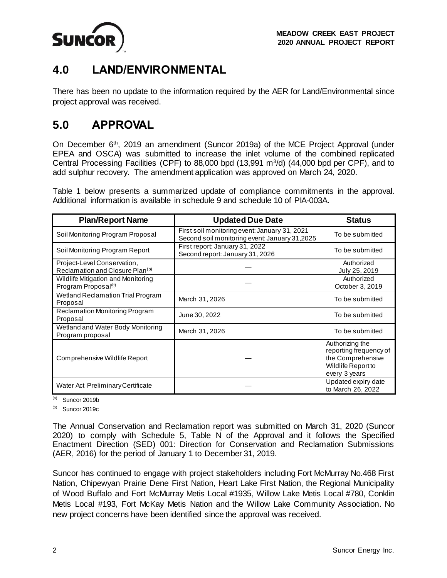

<span id="page-3-1"></span>

# **4.0 LAND/ENVIRONMENTAL**

There has been no update to the information required by the AER for Land/Environmental since project approval was received.

## <span id="page-3-0"></span>**5.0 APPROVAL**

On December 6th, 2019 an amendment (Suncor 2019a) of the MCE Project Approval (under EPEA and OSCA) was submitted to increase the inlet volume of the combined replicated Central Processing Facilities (CPF) to 88,000 bpd  $(13,991 \text{ m}^3/\text{d})$   $(44,000 \text{ bpd per CPF})$ , and to add sulphur recovery. The amendment application was approved on March 24, 2020.

Table 1 below presents a summarized update of compliance commitments in the approval. Additional information is available in schedule 9 and schedule 10 of PIA-003A.

| <b>Plan/Report Name</b>                                                    | <b>Updated Due Date</b>                                                                        | <b>Status</b>                                                                                                |
|----------------------------------------------------------------------------|------------------------------------------------------------------------------------------------|--------------------------------------------------------------------------------------------------------------|
| Soil Monitoring Program Proposal                                           | First soil monitoring event: January 31, 2021<br>Second soil monitoring event: January 31,2025 | To be submitted                                                                                              |
| Soil Monitoring Program Report                                             | First report: January 31, 2022<br>Second report: January 31, 2026                              | To be submitted                                                                                              |
| Project-Level Conservation,<br>Reclamation and Closure Plan <sup>(b)</sup> |                                                                                                | Authorized<br>July 25, 2019                                                                                  |
| Wildlife Mitigation and Monitoring<br>Program Proposal <sup>(c)</sup>      |                                                                                                | Authorized<br>October 3, 2019                                                                                |
| Wetland Reclamation Trial Program<br>Proposal                              | March 31, 2026                                                                                 | To be submitted                                                                                              |
| Reclamation Monitoring Program<br>Proposal                                 | June 30, 2022                                                                                  | To be submitted                                                                                              |
| Wetland and Water Body Monitoring<br>Program proposal                      | March 31, 2026                                                                                 | To be submitted                                                                                              |
| Comprehensive Wildlife Report                                              |                                                                                                | Authorizing the<br>reporting frequency of<br>the Comprehensive<br><b>Wildlife Report to</b><br>every 3 years |
| Water Act Preliminary Certificate                                          |                                                                                                | Updated expiry date<br>to March 26, 2022                                                                     |

 $(a)$  Suncor 2019b

 $(b)$  Suncor 2019c

The Annual Conservation and Reclamation report was submitted on March 31, 2020 (Suncor 2020) to comply with Schedule 5, Table N of the Approval and it follows the Specified Enactment Direction (SED) 001: Direction for Conservation and Reclamation Submissions (AER, 2016) for the period of January 1 to December 31, 2019.

Suncor has continued to engage with project stakeholders including Fort McMurray No.468 First Nation, Chipewyan Prairie Dene First Nation, Heart Lake First Nation, the Regional Municipality of Wood Buffalo and Fort McMurray Metis Local #1935, Willow Lake Metis Local #780, Conklin Metis Local #193, Fort McKay Metis Nation and the Willow Lake Community Association. No new project concerns have been identified since the approval was received.